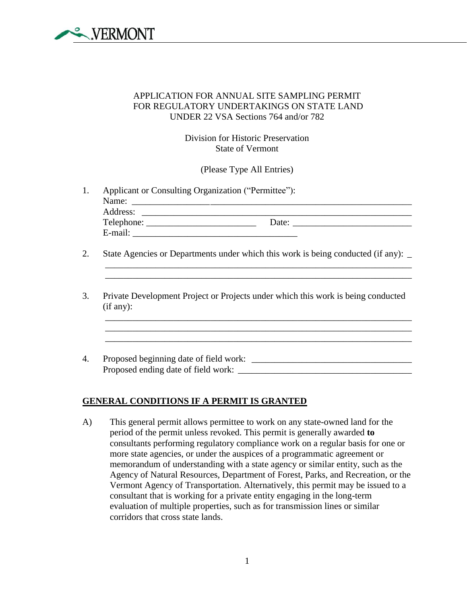

## APPLICATION FOR ANNUAL SITE SAMPLING PERMIT FOR REGULATORY UNDERTAKINGS ON STATE LAND UNDER 22 VSA Sections 764 and/or 782

Division for Historic Preservation State of Vermont

(Please Type All Entries)

- 1. Applicant or Consulting Organization ("Permittee"): Name: \_\_\_\_\_\_\_\_\_\_\_\_\_\_\_\_\_\_\_\_\_\_\_\_\_\_\_\_\_\_\_\_\_\_\_\_\_\_\_\_\_\_\_\_\_\_\_\_\_\_\_\_\_\_\_\_\_\_\_\_\_ Address: \_\_\_\_\_\_\_\_\_\_\_\_\_\_\_\_\_\_\_\_\_\_\_\_\_\_\_\_\_\_\_\_\_\_\_\_\_\_\_\_\_\_\_\_\_\_\_\_\_\_\_\_\_\_\_\_\_\_\_ Telephone: \_\_\_\_\_\_\_\_\_\_\_\_\_\_\_\_\_\_\_\_\_\_\_\_ Date: \_\_\_\_\_\_\_\_\_\_\_\_\_\_\_\_\_\_\_\_\_\_\_\_\_\_ E-mail: \_\_\_\_\_\_\_\_\_\_\_\_\_\_\_\_\_\_\_\_\_\_\_\_\_\_\_\_\_\_\_\_\_\_\_\_
- 2. State Agencies or Departments under which this work is being conducted (if any):

 $\mathcal{L}_\mathcal{L} = \{ \mathcal{L}_\mathcal{L} = \{ \mathcal{L}_\mathcal{L} = \{ \mathcal{L}_\mathcal{L} = \{ \mathcal{L}_\mathcal{L} = \{ \mathcal{L}_\mathcal{L} = \{ \mathcal{L}_\mathcal{L} = \{ \mathcal{L}_\mathcal{L} = \{ \mathcal{L}_\mathcal{L} = \{ \mathcal{L}_\mathcal{L} = \{ \mathcal{L}_\mathcal{L} = \{ \mathcal{L}_\mathcal{L} = \{ \mathcal{L}_\mathcal{L} = \{ \mathcal{L}_\mathcal{L} = \{ \mathcal{L}_\mathcal{$ \_\_\_\_\_\_\_\_\_\_\_\_\_\_\_\_\_\_\_\_\_\_\_\_\_\_\_\_\_\_\_\_\_\_\_\_\_\_\_\_\_\_\_\_\_\_\_\_\_\_\_\_\_\_\_\_\_\_\_\_\_\_\_\_\_\_\_

\_\_\_\_\_\_\_\_\_\_\_\_\_\_\_\_\_\_\_\_\_\_\_\_\_\_\_\_\_\_\_\_\_\_\_\_\_\_\_\_\_\_\_\_\_\_\_\_\_\_\_\_\_\_\_\_\_\_\_\_\_\_\_\_\_\_\_

 $\mathcal{L}_\mathcal{L} = \mathcal{L}_\mathcal{L} = \mathcal{L}_\mathcal{L} = \mathcal{L}_\mathcal{L} = \mathcal{L}_\mathcal{L} = \mathcal{L}_\mathcal{L} = \mathcal{L}_\mathcal{L} = \mathcal{L}_\mathcal{L} = \mathcal{L}_\mathcal{L} = \mathcal{L}_\mathcal{L} = \mathcal{L}_\mathcal{L} = \mathcal{L}_\mathcal{L} = \mathcal{L}_\mathcal{L} = \mathcal{L}_\mathcal{L} = \mathcal{L}_\mathcal{L} = \mathcal{L}_\mathcal{L} = \mathcal{L}_\mathcal{L}$ 

\_\_\_\_\_\_\_\_\_\_\_\_\_\_\_\_\_\_\_\_\_\_\_\_\_\_\_\_\_\_\_\_\_\_\_\_\_\_\_\_\_\_\_\_\_\_\_\_\_\_\_\_\_\_\_\_\_\_\_\_\_\_\_\_\_\_\_

- 3. Private Development Project or Projects under which this work is being conducted (if any):
- 4. Proposed beginning date of field work: \_\_\_\_\_\_\_\_\_\_\_\_\_\_\_\_\_\_\_\_\_\_\_\_\_\_\_\_\_\_\_\_\_\_\_ Proposed ending date of field work:

## **GENERAL CONDITIONS IF A PERMIT IS GRANTED**

A) This general permit allows permittee to work on any state-owned land for the period of the permit unless revoked. This permit is generally awarded **to**  consultants performing regulatory compliance work on a regular basis for one or more state agencies, or under the auspices of a programmatic agreement or memorandum of understanding with a state agency or similar entity, such as the Agency of Natural Resources, Department of Forest, Parks, and Recreation, or the Vermont Agency of Transportation. Alternatively, this permit may be issued to a consultant that is working for a private entity engaging in the long-term evaluation of multiple properties, such as for transmission lines or similar corridors that cross state lands.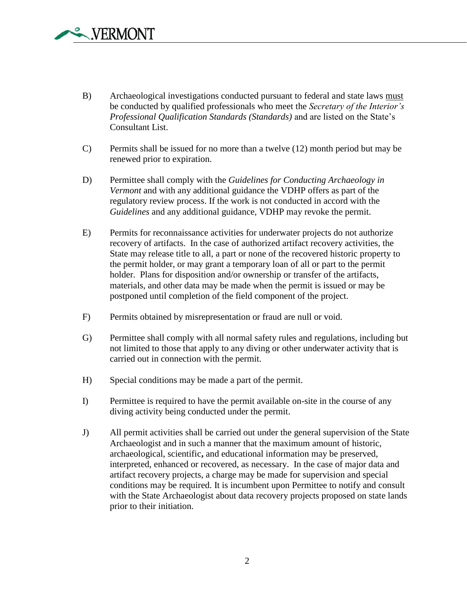- B) Archaeological investigations conducted pursuant to federal and state laws must be conducted by qualified professionals who meet the *Secretary of the Interior's Professional Qualification Standards (Standards)* and are listed on the State's Consultant List.
- C) Permits shall be issued for no more than a twelve (12) month period but may be renewed prior to expiration.
- D) Permittee shall comply with the *Guidelines for Conducting Archaeology in Vermont* and with any additional guidance the VDHP offers as part of the regulatory review process. If the work is not conducted in accord with the *Guidelines* and any additional guidance, VDHP may revoke the permit.
- E) Permits for reconnaissance activities for underwater projects do not authorize recovery of artifacts. In the case of authorized artifact recovery activities, the State may release title to all, a part or none of the recovered historic property to the permit holder, or may grant a temporary loan of all or part to the permit holder. Plans for disposition and/or ownership or transfer of the artifacts, materials, and other data may be made when the permit is issued or may be postponed until completion of the field component of the project.
- F) Permits obtained by misrepresentation or fraud are null or void.
- G) Permittee shall comply with all normal safety rules and regulations, including but not limited to those that apply to any diving or other underwater activity that is carried out in connection with the permit.
- H) Special conditions may be made a part of the permit.
- I) Permittee is required to have the permit available on-site in the course of any diving activity being conducted under the permit.
- J) All permit activities shall be carried out under the general supervision of the State Archaeologist and in such a manner that the maximum amount of historic, archaeological, scientific**,** and educational information may be preserved, interpreted, enhanced or recovered, as necessary. In the case of major data and artifact recovery projects, a charge may be made for supervision and special conditions may be required. It is incumbent upon Permittee to notify and consult with the State Archaeologist about data recovery projects proposed on state lands prior to their initiation.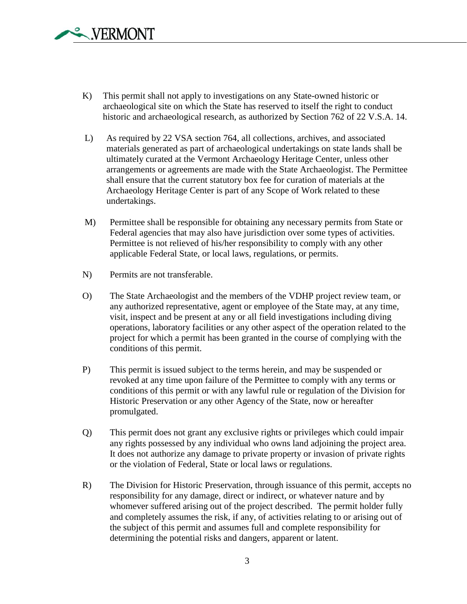- K) This permit shall not apply to investigations on any State-owned historic or archaeological site on which the State has reserved to itself the right to conduct historic and archaeological research, as authorized by Section 762 of 22 V.S.A. 14.
- L) As required by 22 VSA section 764, all collections, archives, and associated materials generated as part of archaeological undertakings on state lands shall be ultimately curated at the Vermont Archaeology Heritage Center, unless other arrangements or agreements are made with the State Archaeologist. The Permittee shall ensure that the current statutory box fee for curation of materials at the Archaeology Heritage Center is part of any Scope of Work related to these undertakings.
- M) Permittee shall be responsible for obtaining any necessary permits from State or Federal agencies that may also have jurisdiction over some types of activities. Permittee is not relieved of his/her responsibility to comply with any other applicable Federal State, or local laws, regulations, or permits.
- N) Permits are not transferable.
- O) The State Archaeologist and the members of the VDHP project review team, or any authorized representative, agent or employee of the State may, at any time, visit, inspect and be present at any or all field investigations including diving operations, laboratory facilities or any other aspect of the operation related to the project for which a permit has been granted in the course of complying with the conditions of this permit.
- P) This permit is issued subject to the terms herein, and may be suspended or revoked at any time upon failure of the Permittee to comply with any terms or conditions of this permit or with any lawful rule or regulation of the Division for Historic Preservation or any other Agency of the State, now or hereafter promulgated.
- Q) This permit does not grant any exclusive rights or privileges which could impair any rights possessed by any individual who owns land adjoining the project area. It does not authorize any damage to private property or invasion of private rights or the violation of Federal, State or local laws or regulations.
- R) The Division for Historic Preservation, through issuance of this permit, accepts no responsibility for any damage, direct or indirect, or whatever nature and by whomever suffered arising out of the project described. The permit holder fully and completely assumes the risk, if any, of activities relating to or arising out of the subject of this permit and assumes full and complete responsibility for determining the potential risks and dangers, apparent or latent.